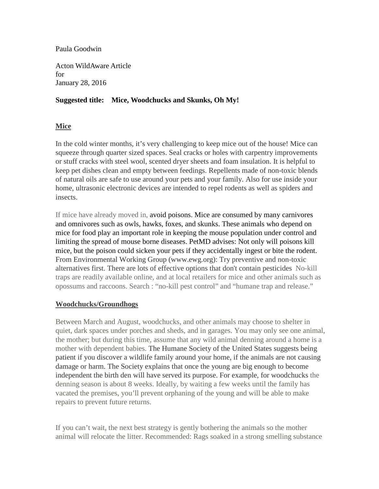### Paula Goodwin

Acton WildAware Article for January 28, 2016

## **Suggested title: Mice, Woodchucks and Skunks, Oh My!**

## **Mice**

In the cold winter months, it's very challenging to keep mice out of the house! Mice can squeeze through quarter sized spaces. Seal cracks or holes with carpentry improvements or stuff cracks with steel wool, scented dryer sheets and foam insulation. It is helpful to keep pet dishes clean and empty between feedings. Repellents made of non-toxic blends of natural oils are safe to use around your pets and your family. Also for use inside your home, ultrasonic electronic devices are intended to repel rodents as well as spiders and insects.

If mice have already moved in, avoid poisons. Mice are consumed by many carnivores and omnivores such as owls, hawks, foxes, and skunks. These animals who depend on mice for food play an important role in keeping the mouse population under control and limiting the spread of mouse borne diseases. PetMD advises: Not only will poisons kill mice, but the poison could sicken your pets if they accidentally ingest or bite the rodent. From Environmental Working Group (www.ewg.org): Try preventive and non-toxic alternatives first. There are lots of effective options that don't contain pesticides No-kill traps are readily available online, and at local retailers for mice and other animals such as opossums and raccoons. Search : "no-kill pest control" and "humane trap and release."

## **Woodchucks/Groundhogs**

Between March and August, woodchucks, and other animals may choose to shelter in quiet, dark spaces under porches and sheds, and in garages. You may only see one animal, the mother; but during this time, assume that any wild animal denning around a home is a mother with dependent babies. The Humane Society of the United States suggests being patient if you discover a wildlife family around your home, if the animals are not causing damage or harm. The Society explains that once the young are big enough to become independent the birth den will have served its purpose. For example, for woodchucks the denning season is about 8 weeks. Ideally, by waiting a few weeks until the family has vacated the premises, you'll prevent orphaning of the young and will be able to make repairs to prevent future returns.

If you can't wait, the next best strategy is gently bothering the animals so the mother animal will relocate the litter. Recommended: Rags soaked in a strong smelling substance